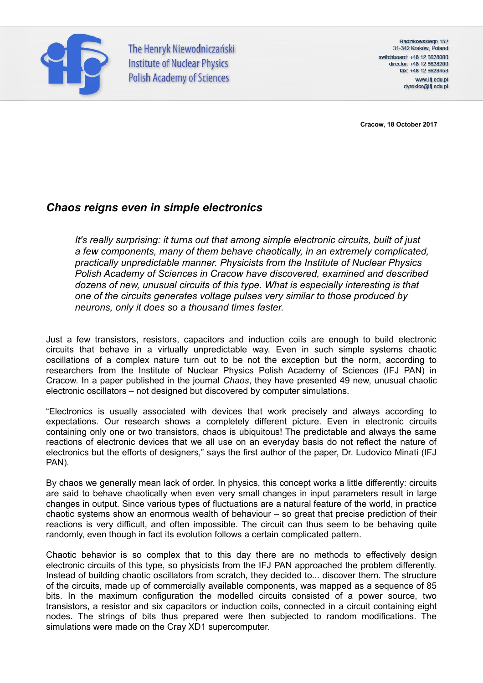

The Henryk Niewodniczański **Institute of Nuclear Physics Polish Academy of Sciences** 

Radzikowskiego 152 31-342 Kraków, Poland switchboard: +48 12 6628000 director: +48 12 6628200 fax: +48 12 6628458 www.ifj.edu.pl dyrektor@ifj.edu.pl

**Cracow, 18 October 2017**

# *Chaos reigns even in simple electronics*

*It's really surprising: it turns out that among simple electronic circuits, built of just a few components, many of them behave chaotically, in an extremely complicated, practically unpredictable manner. Physicists from the Institute of Nuclear Physics Polish Academy of Sciences in Cracow have discovered, examined and described dozens of new, unusual circuits of this type. What is especially interesting is that one of the circuits generates voltage pulses very similar to those produced by neurons, only it does so a thousand times faster.*

Just a few transistors, resistors, capacitors and induction coils are enough to build electronic circuits that behave in a virtually unpredictable way. Even in such simple systems chaotic oscillations of a complex nature turn out to be not the exception but the norm, according to researchers from the Institute of Nuclear Physics Polish Academy of Sciences (IFJ PAN) in Cracow. In a paper published in the journal *Chaos*, they have presented 49 new, unusual chaotic electronic oscillators – not designed but discovered by computer simulations.

"Electronics is usually associated with devices that work precisely and always according to expectations. Our research shows a completely different picture. Even in electronic circuits containing only one or two transistors, chaos is ubiquitous! The predictable and always the same reactions of electronic devices that we all use on an everyday basis do not reflect the nature of electronics but the efforts of designers," says the first author of the paper, Dr. Ludovico Minati (IFJ PAN).

By chaos we generally mean lack of order. In physics, this concept works a little differently: circuits are said to behave chaotically when even very small changes in input parameters result in large changes in output. Since various types of fluctuations are a natural feature of the world, in practice chaotic systems show an enormous wealth of behaviour – so great that precise prediction of their reactions is very difficult, and often impossible. The circuit can thus seem to be behaving quite randomly, even though in fact its evolution follows a certain complicated pattern.

Chaotic behavior is so complex that to this day there are no methods to effectively design electronic circuits of this type, so physicists from the IFJ PAN approached the problem differently. Instead of building chaotic oscillators from scratch, they decided to... discover them. The structure of the circuits, made up of commercially available components, was mapped as a sequence of 85 bits. In the maximum configuration the modelled circuits consisted of a power source, two transistors, a resistor and six capacitors or induction coils, connected in a circuit containing eight nodes. The strings of bits thus prepared were then subjected to random modifications. The simulations were made on the Cray XD1 supercomputer.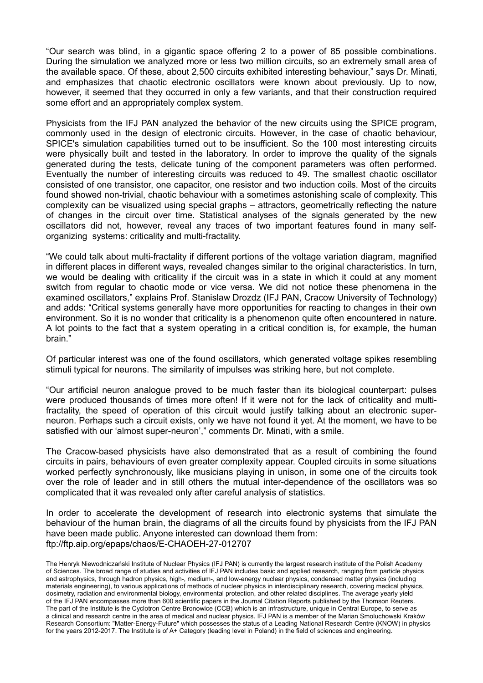"Our search was blind, in a gigantic space offering 2 to a power of 85 possible combinations. During the simulation we analyzed more or less two million circuits, so an extremely small area of the available space. Of these, about 2,500 circuits exhibited interesting behaviour," says Dr. Minati, and emphasizes that chaotic electronic oscillators were known about previously. Up to now, however, it seemed that they occurred in only a few variants, and that their construction required some effort and an appropriately complex system.

Physicists from the IFJ PAN analyzed the behavior of the new circuits using the SPICE program, commonly used in the design of electronic circuits. However, in the case of chaotic behaviour, SPICE's simulation capabilities turned out to be insufficient. So the 100 most interesting circuits were physically built and tested in the laboratory. In order to improve the quality of the signals generated during the tests, delicate tuning of the component parameters was often performed. Eventually the number of interesting circuits was reduced to 49. The smallest chaotic oscillator consisted of one transistor, one capacitor, one resistor and two induction coils. Most of the circuits found showed non-trivial, chaotic behaviour with a sometimes astonishing scale of complexity. This complexity can be visualized using special graphs – attractors, geometrically reflecting the nature of changes in the circuit over time. Statistical analyses of the signals generated by the new oscillators did not, however, reveal any traces of two important features found in many selforganizing systems: criticality and multi-fractality.

"We could talk about multi-fractality if different portions of the voltage variation diagram, magnified in different places in different ways, revealed changes similar to the original characteristics. In turn, we would be dealing with criticality if the circuit was in a state in which it could at any moment switch from regular to chaotic mode or vice versa. We did not notice these phenomena in the examined oscillators," explains Prof. Stanislaw Drozdz (IFJ PAN, Cracow University of Technology) and adds: "Critical systems generally have more opportunities for reacting to changes in their own environment. So it is no wonder that criticality is a phenomenon quite often encountered in nature. A lot points to the fact that a system operating in a critical condition is, for example, the human brain."

Of particular interest was one of the found oscillators, which generated voltage spikes resembling stimuli typical for neurons. The similarity of impulses was striking here, but not complete.

"Our artificial neuron analogue proved to be much faster than its biological counterpart: pulses were produced thousands of times more often! If it were not for the lack of criticality and multifractality, the speed of operation of this circuit would justify talking about an electronic superneuron. Perhaps such a circuit exists, only we have not found it yet. At the moment, we have to be satisfied with our 'almost super-neuron'," comments Dr. Minati, with a smile.

The Cracow-based physicists have also demonstrated that as a result of combining the found circuits in pairs, behaviours of even greater complexity appear. Coupled circuits in some situations worked perfectly synchronously, like musicians playing in unison, in some one of the circuits took over the role of leader and in still others the mutual inter-dependence of the oscillators was so complicated that it was revealed only after careful analysis of statistics.

In order to accelerate the development of research into electronic systems that simulate the behaviour of the human brain, the diagrams of all the circuits found by physicists from the IFJ PAN have been made public. Anyone interested can download them from: ftp://ftp.aip.org/epaps/chaos/E-CHAOEH-27-012707

The Henryk Niewodniczański Institute of Nuclear Physics (IFJ PAN) is currently the largest research institute of the Polish Academy of Sciences. The broad range of studies and activities of IFJ PAN includes basic and applied research, ranging from particle physics and astrophysics, through hadron physics, high-, medium-, and low-energy nuclear physics, condensed matter physics (including materials engineering), to various applications of methods of nuclear physics in interdisciplinary research, covering medical physics, dosimetry, radiation and environmental biology, environmental protection, and other related disciplines. The average yearly yield of the IFJ PAN encompasses more than 600 scientific papers in the Journal Citation Reports published by the Thomson Reuters. The part of the Institute is the Cyclotron Centre Bronowice (CCB) which is an infrastructure, unique in Central Europe, to serve as a clinical and research centre in the area of medical and nuclear physics. IFJ PAN is a member of the Marian Smoluchowski Kraków Research Consortium: "Matter-Energy-Future" which possesses the status of a Leading National Research Centre (KNOW) in physics for the years 2012-2017. The Institute is of A+ Category (leading level in Poland) in the field of sciences and engineering.